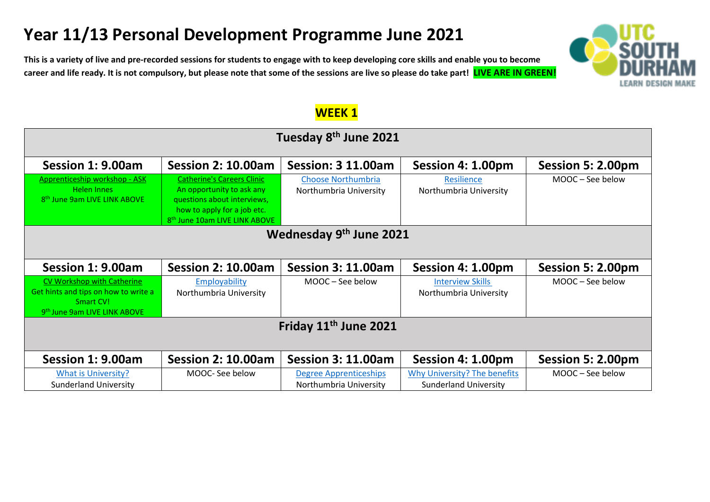# **Year 11/13 Personal Development Programme June 2021**

**This is a variety of live and pre-recorded sessions for students to engage with to keep developing core skills and enable you to become career and life ready. It is not compulsory, but please note that some of the sessions are live so please do take part! LIVE ARE IN GREEN!** 



| Tuesday 8 <sup>th</sup> June 2021                                                                                           |                                                                                                                                                                           |                                                         |                                                              |                   |  |  |
|-----------------------------------------------------------------------------------------------------------------------------|---------------------------------------------------------------------------------------------------------------------------------------------------------------------------|---------------------------------------------------------|--------------------------------------------------------------|-------------------|--|--|
| Session 1: 9.00am                                                                                                           | <b>Session 2: 10.00am</b>                                                                                                                                                 | <b>Session: 3 11.00am</b>                               | Session 4: 1.00pm                                            | Session 5: 2.00pm |  |  |
| Apprenticeship workshop - ASK<br><b>Helen Innes</b><br>8 <sup>th</sup> June 9am LIVE LINK ABOVE                             | <b>Catherine's Careers Clinic</b><br>An opportunity to ask any<br>questions about interviews,<br>how to apply for a job etc.<br>8 <sup>th</sup> June 10am LIVE LINK ABOVE | <b>Choose Northumbria</b><br>Northumbria University     | Resilience<br>Northumbria University                         | MOOC - See below  |  |  |
| Wednesday 9th June 2021                                                                                                     |                                                                                                                                                                           |                                                         |                                                              |                   |  |  |
| Session 1: 9.00am                                                                                                           | <b>Session 2: 10.00am</b>                                                                                                                                                 | <b>Session 3: 11.00am</b>                               | Session 4: 1.00pm                                            | Session 5: 2.00pm |  |  |
| CV Workshop with Catherine<br>Get hints and tips on how to write a<br>Smart CV!<br>9 <sup>th</sup> June 9am LIVE LINK ABOVE | Employability<br>Northumbria University                                                                                                                                   | MOOC-See below                                          | <b>Interview Skills</b><br>Northumbria University            | MOOC - See below  |  |  |
| Friday 11 <sup>th</sup> June 2021                                                                                           |                                                                                                                                                                           |                                                         |                                                              |                   |  |  |
| Session 1: 9.00am                                                                                                           | <b>Session 2: 10.00am</b>                                                                                                                                                 | <b>Session 3: 11.00am</b>                               | Session 4: 1.00pm                                            | Session 5: 2.00pm |  |  |
| <b>What is University?</b><br><b>Sunderland University</b>                                                                  | MOOC- See below                                                                                                                                                           | <b>Degree Apprenticeships</b><br>Northumbria University | Why University? The benefits<br><b>Sunderland University</b> | MOOC - See below  |  |  |

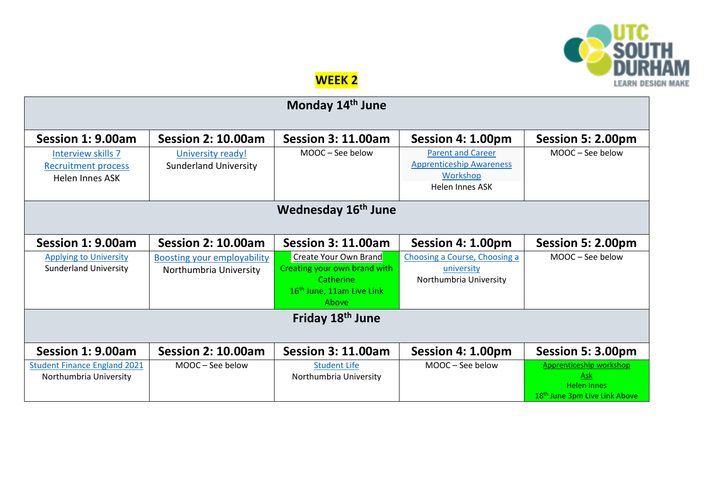

## **WEEK 2**

| Monday 14 <sup>th</sup> June        |                                    |                                                    |                                             |                                           |  |  |
|-------------------------------------|------------------------------------|----------------------------------------------------|---------------------------------------------|-------------------------------------------|--|--|
| Session 1: 9.00am                   | <b>Session 2: 10.00am</b>          | <b>Session 3: 11.00am</b>                          | Session 4: 1.00pm                           | Session 5: 2.00pm                         |  |  |
| Interview skills 7                  | University ready!                  | MOOC - See below                                   | <b>Parent and Career</b>                    | MOOC - See below                          |  |  |
| <b>Recruitment process</b>          | <b>Sunderland University</b>       |                                                    | <b>Apprenticeship Awareness</b><br>Workshop |                                           |  |  |
| <b>Helen Innes ASK</b>              |                                    |                                                    | Helen Innes ASK                             |                                           |  |  |
|                                     |                                    |                                                    |                                             |                                           |  |  |
| Wednesday 16 <sup>th</sup> June     |                                    |                                                    |                                             |                                           |  |  |
|                                     |                                    |                                                    |                                             |                                           |  |  |
| Session 1: 9.00am                   | <b>Session 2: 10.00am</b>          | <b>Session 3: 11.00am</b>                          | Session 4: 1.00pm                           | Session 5: 2.00pm                         |  |  |
| <b>Applying to University</b>       | <b>Boosting your employability</b> | Create Your Own Brand                              | Choosing a Course, Choosing a               | MOOC - See below                          |  |  |
| <b>Sunderland University</b>        | Northumbria University             | Creating your own brand with                       | university                                  |                                           |  |  |
|                                     |                                    | Catherine<br>16 <sup>th</sup> June, 11am Live Link | Northumbria University                      |                                           |  |  |
|                                     |                                    | Above                                              |                                             |                                           |  |  |
| Friday 18th June                    |                                    |                                                    |                                             |                                           |  |  |
|                                     |                                    |                                                    |                                             |                                           |  |  |
| Session 1: 9.00am                   | <b>Session 2: 10.00am</b>          | <b>Session 3: 11.00am</b>                          | Session 4: 1.00pm                           | Session 5: 3.00pm                         |  |  |
| <b>Student Finance England 2021</b> | MOOC - See below                   | <b>Student Life</b>                                | MOOC - See below                            | Apprenticeship workshop                   |  |  |
| Northumbria University              |                                    | Northumbria University                             |                                             | Ask<br><b>Helen Innes</b>                 |  |  |
|                                     |                                    |                                                    |                                             | 18 <sup>th</sup> June 3pm Live Link Above |  |  |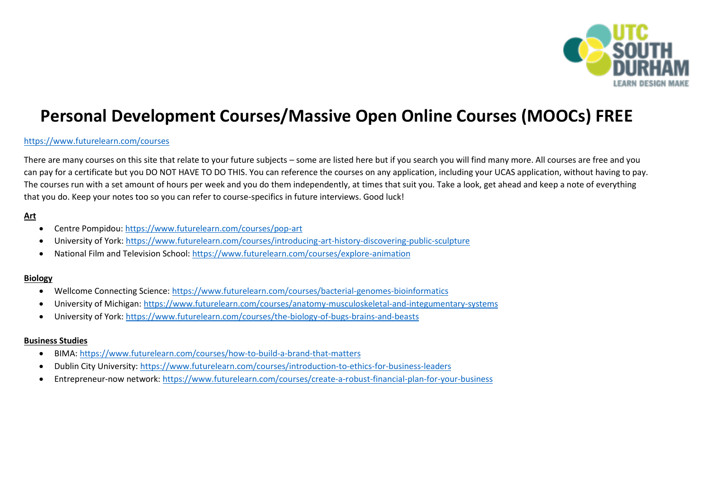

## **Personal Development Courses/Massive Open Online Courses (MOOCs) FREE**

## <https://www.futurelearn.com/courses>

There are many courses on this site that relate to your future subjects – some are listed here but if you search you will find many more. All courses are free and you can pay for a certificate but you DO NOT HAVE TO DO THIS. You can reference the courses on any application, including your UCAS application, without having to pay. The courses run with a set amount of hours per week and you do them independently, at times that suit you. Take a look, get ahead and keep a note of everything that you do. Keep your notes too so you can refer to course-specifics in future interviews. Good luck!

## **Art**

- Centre Pompidou:<https://www.futurelearn.com/courses/pop-art>
- University of York:<https://www.futurelearn.com/courses/introducing-art-history-discovering-public-sculpture>
- National Film and Television School:<https://www.futurelearn.com/courses/explore-animation>

#### **Biology**

- Wellcome Connecting Science:<https://www.futurelearn.com/courses/bacterial-genomes-bioinformatics>
- University of Michigan:<https://www.futurelearn.com/courses/anatomy-musculoskeletal-and-integumentary-systems>
- University of York:<https://www.futurelearn.com/courses/the-biology-of-bugs-brains-and-beasts>

#### **Business Studies**

- BIMA[: https://www.futurelearn.com/courses/how-to-build-a-brand-that-matters](https://www.futurelearn.com/courses/how-to-build-a-brand-that-matters)
- Dublin City University:<https://www.futurelearn.com/courses/introduction-to-ethics-for-business-leaders>
- Entrepreneur-now network[: https://www.futurelearn.com/courses/create-a-robust-financial-plan-for-your-business](https://www.futurelearn.com/courses/create-a-robust-financial-plan-for-your-business)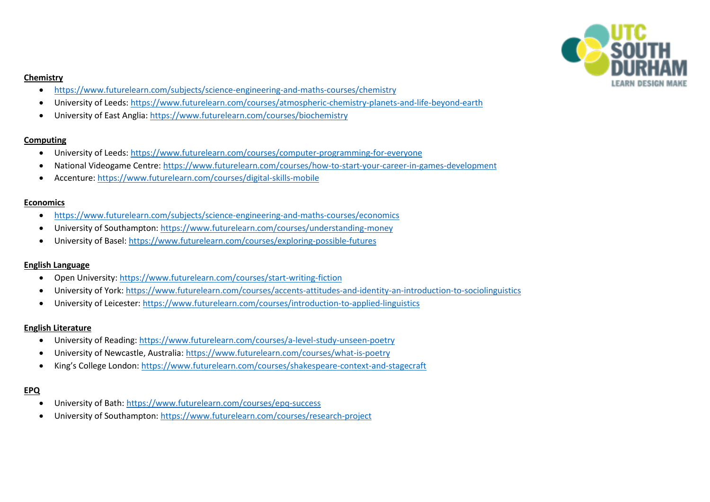

## **Chemistry**

- <https://www.futurelearn.com/subjects/science-engineering-and-maths-courses/chemistry>
- University of Leeds[: https://www.futurelearn.com/courses/atmospheric-chemistry-planets-and-life-beyond-earth](https://www.futurelearn.com/courses/atmospheric-chemistry-planets-and-life-beyond-earth)
- University of East Anglia:<https://www.futurelearn.com/courses/biochemistry>

## **Computing**

- University of Leeds[: https://www.futurelearn.com/courses/computer-programming-for-everyone](https://www.futurelearn.com/courses/computer-programming-for-everyone)
- National Videogame Centre:<https://www.futurelearn.com/courses/how-to-start-your-career-in-games-development>
- Accenture[: https://www.futurelearn.com/courses/digital-skills-mobile](https://www.futurelearn.com/courses/digital-skills-mobile)

## **Economics**

- <https://www.futurelearn.com/subjects/science-engineering-and-maths-courses/economics>
- University of Southampton:<https://www.futurelearn.com/courses/understanding-money>
- University of Basel[: https://www.futurelearn.com/courses/exploring-possible-futures](https://www.futurelearn.com/courses/exploring-possible-futures)

## **English Language**

- Open University:<https://www.futurelearn.com/courses/start-writing-fiction>
- University of York:<https://www.futurelearn.com/courses/accents-attitudes-and-identity-an-introduction-to-sociolinguistics>
- University of Leicester:<https://www.futurelearn.com/courses/introduction-to-applied-linguistics>

## **English Literature**

- University of Reading:<https://www.futurelearn.com/courses/a-level-study-unseen-poetry>
- University of Newcastle, Australia:<https://www.futurelearn.com/courses/what-is-poetry>
- King's College London: <https://www.futurelearn.com/courses/shakespeare-context-and-stagecraft>

## **EPQ**

- University of Bath:<https://www.futurelearn.com/courses/epq-success>
- University of Southampton:<https://www.futurelearn.com/courses/research-project>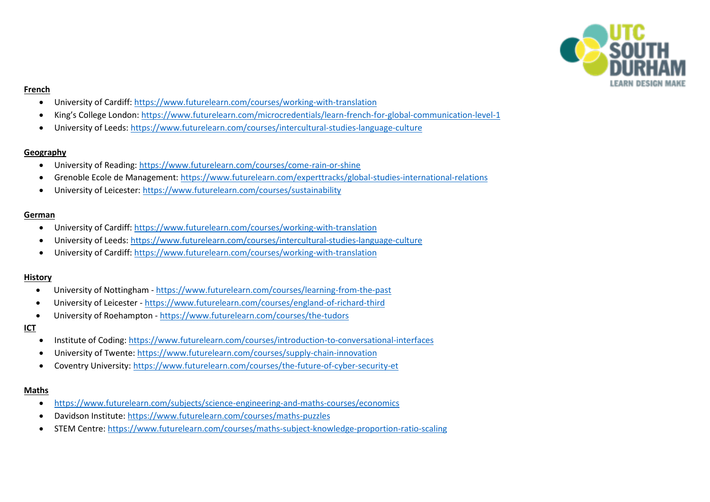

#### **French**

- University of Cardiff:<https://www.futurelearn.com/courses/working-with-translation>
- King's College London: <https://www.futurelearn.com/microcredentials/learn-french-for-global-communication-level-1>
- University of Leeds[: https://www.futurelearn.com/courses/intercultural-studies-language-culture](https://www.futurelearn.com/courses/intercultural-studies-language-culture)

## **Geography**

- University of Reading:<https://www.futurelearn.com/courses/come-rain-or-shine>
- Grenoble Ecole de Management:<https://www.futurelearn.com/experttracks/global-studies-international-relations>
- University of Leicester:<https://www.futurelearn.com/courses/sustainability>

## **German**

- University of Cardiff:<https://www.futurelearn.com/courses/working-with-translation>
- University of Leeds[: https://www.futurelearn.com/courses/intercultural-studies-language-culture](https://www.futurelearn.com/courses/intercultural-studies-language-culture)
- University of Cardiff:<https://www.futurelearn.com/courses/working-with-translation>

## **History**

- University of Nottingham <https://www.futurelearn.com/courses/learning-from-the-past>
- University of Leicester <https://www.futurelearn.com/courses/england-of-richard-third>
- University of Roehampton <https://www.futurelearn.com/courses/the-tudors>

## **ICT**

- Institute of Coding[: https://www.futurelearn.com/courses/introduction-to-conversational-interfaces](https://www.futurelearn.com/courses/introduction-to-conversational-interfaces)
- University of Twente[: https://www.futurelearn.com/courses/supply-chain-innovation](https://www.futurelearn.com/courses/supply-chain-innovation)
- Coventry University:<https://www.futurelearn.com/courses/the-future-of-cyber-security-et>

## **Maths**

- <https://www.futurelearn.com/subjects/science-engineering-and-maths-courses/economics>
- Davidson Institute:<https://www.futurelearn.com/courses/maths-puzzles>
- STEM Centre[: https://www.futurelearn.com/courses/maths-subject-knowledge-proportion-ratio-scaling](https://www.futurelearn.com/courses/maths-subject-knowledge-proportion-ratio-scaling)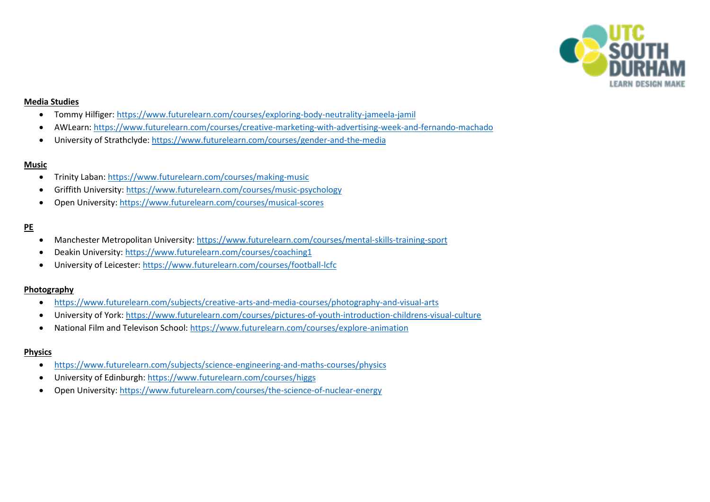

## **Media Studies**

- Tommy Hilfiger:<https://www.futurelearn.com/courses/exploring-body-neutrality-jameela-jamil>
- AWLearn:<https://www.futurelearn.com/courses/creative-marketing-with-advertising-week-and-fernando-machado>
- University of Strathclyde:<https://www.futurelearn.com/courses/gender-and-the-media>

## **Music**

- Trinity Laban[: https://www.futurelearn.com/courses/making-music](https://www.futurelearn.com/courses/making-music)
- Griffith University[: https://www.futurelearn.com/courses/music-psychology](https://www.futurelearn.com/courses/music-psychology)
- Open University:<https://www.futurelearn.com/courses/musical-scores>

## **PE**

- Manchester Metropolitan University:<https://www.futurelearn.com/courses/mental-skills-training-sport>
- Deakin University:<https://www.futurelearn.com/courses/coaching1>
- University of Leicester:<https://www.futurelearn.com/courses/football-lcfc>

## **Photography**

- <https://www.futurelearn.com/subjects/creative-arts-and-media-courses/photography-and-visual-arts>
- University of York:<https://www.futurelearn.com/courses/pictures-of-youth-introduction-childrens-visual-culture>
- National Film and Televison School:<https://www.futurelearn.com/courses/explore-animation>

## **Physics**

- <https://www.futurelearn.com/subjects/science-engineering-and-maths-courses/physics>
- University of Edinburgh:<https://www.futurelearn.com/courses/higgs>
- Open University:<https://www.futurelearn.com/courses/the-science-of-nuclear-energy>